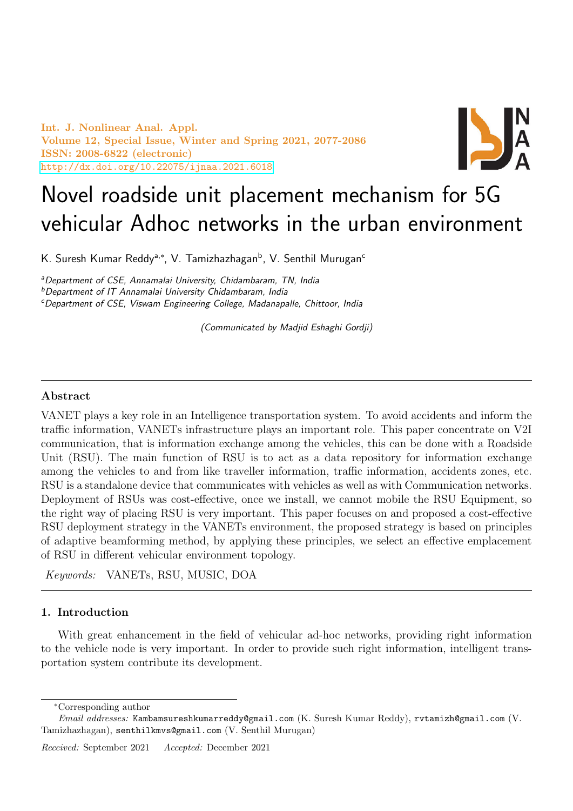Int. J. Nonlinear Anal. Appl. Volume 12, Special Issue, Winter and Spring 2021, 2077-2086 ISSN: 2008-6822 (electronic) <http://dx.doi.org/10.22075/ijnaa.2021.6018>



# Novel roadside unit placement mechanism for 5G vehicular Adhoc networks in the urban environment

K. Suresh Kumar Reddyª<sub>\*</sub>\*, V. Tamizhazhagan<sup>b</sup>, V. Senthil Murugan<sup>c</sup>

<sup>a</sup>Department of CSE, Annamalai University, Chidambaram, TN, India

<sup>b</sup>Department of IT Annamalai University Chidambaram, India

<sup>c</sup>Department of CSE, Viswam Engineering College, Madanapalle, Chittoor, India

(Communicated by Madjid Eshaghi Gordji)

## Abstract

VANET plays a key role in an Intelligence transportation system. To avoid accidents and inform the traffic information, VANETs infrastructure plays an important role. This paper concentrate on V2I communication, that is information exchange among the vehicles, this can be done with a Roadside Unit (RSU). The main function of RSU is to act as a data repository for information exchange among the vehicles to and from like traveller information, traffic information, accidents zones, etc. RSU is a standalone device that communicates with vehicles as well as with Communication networks. Deployment of RSUs was cost-effective, once we install, we cannot mobile the RSU Equipment, so the right way of placing RSU is very important. This paper focuses on and proposed a cost-effective RSU deployment strategy in the VANETs environment, the proposed strategy is based on principles of adaptive beamforming method, by applying these principles, we select an effective emplacement of RSU in different vehicular environment topology.

Keywords: VANETs, RSU, MUSIC, DOA

## 1. Introduction

With great enhancement in the field of vehicular ad-hoc networks, providing right information to the vehicle node is very important. In order to provide such right information, intelligent transportation system contribute its development.

<sup>∗</sup>Corresponding author

Email addresses: Kambamsureshkumarreddy@gmail.com (K. Suresh Kumar Reddy), rvtamizh@gmail.com (V. Tamizhazhagan), senthilkmvs@gmail.com (V. Senthil Murugan)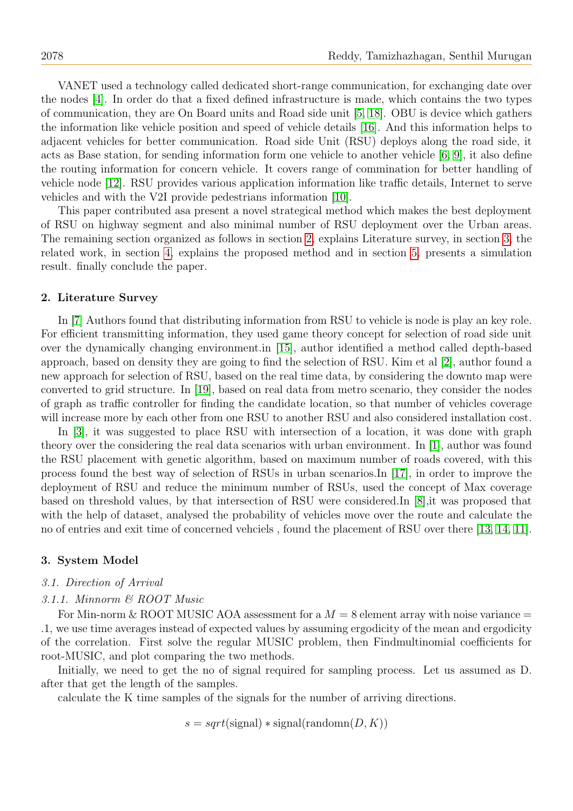VANET used a technology called dedicated short-range communication, for exchanging date over the nodes [\[4\]](#page-8-0). In order do that a fixed defined infrastructure is made, which contains the two types of communication, they are On Board units and Road side unit [\[5,](#page-8-1) [18\]](#page-8-2). OBU is device which gathers the information like vehicle position and speed of vehicle details [\[16\]](#page-8-3). And this information helps to adjacent vehicles for better communication. Road side Unit (RSU) deploys along the road side, it acts as Base station, for sending information form one vehicle to another vehicle [\[6,](#page-8-4) [9\]](#page-8-5), it also define the routing information for concern vehicle. It covers range of commination for better handling of vehicle node [\[12\]](#page-8-6). RSU provides various application information like traffic details, Internet to serve vehicles and with the V2I provide pedestrians information [\[10\]](#page-8-7).

This paper contributed asa present a novel strategical method which makes the best deployment of RSU on highway segment and also minimal number of RSU deployment over the Urban areas. The remaining section organized as follows in section [2,](#page-1-0) explains Literature survey, in section [3,](#page-1-1) the related work, in section [4,](#page-3-0) explains the proposed method and in section [5,](#page-6-0) presents a simulation result. finally conclude the paper.

#### <span id="page-1-0"></span>2. Literature Survey

In [\[7\]](#page-8-8) Authors found that distributing information from RSU to vehicle is node is play an key role. For efficient transmitting information, they used game theory concept for selection of road side unit over the dynamically changing environment.in [\[15\]](#page-8-9), author identified a method called depth-based approach, based on density they are going to find the selection of RSU. Kim et al [\[2\]](#page-7-0), author found a new approach for selection of RSU, based on the real time data, by considering the downto map were converted to grid structure. In [\[19\]](#page-9-0), based on real data from metro scenario, they consider the nodes of graph as traffic controller for finding the candidate location, so that number of vehicles coverage will increase more by each other from one RSU to another RSU and also considered installation cost.

In [\[3\]](#page-7-1), it was suggested to place RSU with intersection of a location, it was done with graph theory over the considering the real data scenarios with urban environment. In [\[1\]](#page-7-2), author was found the RSU placement with genetic algorithm, based on maximum number of roads covered, with this process found the best way of selection of RSUs in urban scenarios.In [\[17\]](#page-8-10), in order to improve the deployment of RSU and reduce the minimum number of RSUs, used the concept of Max coverage based on threshold values, by that intersection of RSU were considered.In [\[8\]](#page-8-11),it was proposed that with the help of dataset, analysed the probability of vehicles move over the route and calculate the no of entries and exit time of concerned vehciels , found the placement of RSU over there [\[13,](#page-8-12) [14,](#page-8-13) [11\]](#page-8-14).

### <span id="page-1-1"></span>3. System Model

#### 3.1. Direction of Arrival

#### 3.1.1. Minnorm & ROOT Music

For Min-norm & ROOT MUSIC AOA assessment for a  $M = 8$  element array with noise variance  $=$ .1, we use time averages instead of expected values by assuming ergodicity of the mean and ergodicity of the correlation. First solve the regular MUSIC problem, then Findmultinomial coefficients for root-MUSIC, and plot comparing the two methods.

Initially, we need to get the no of signal required for sampling process. Let us assumed as D. after that get the length of the samples.

calculate the K time samples of the signals for the number of arriving directions.

 $s = sqrt(\text{signal}) * signal(\text{random}(D, K))$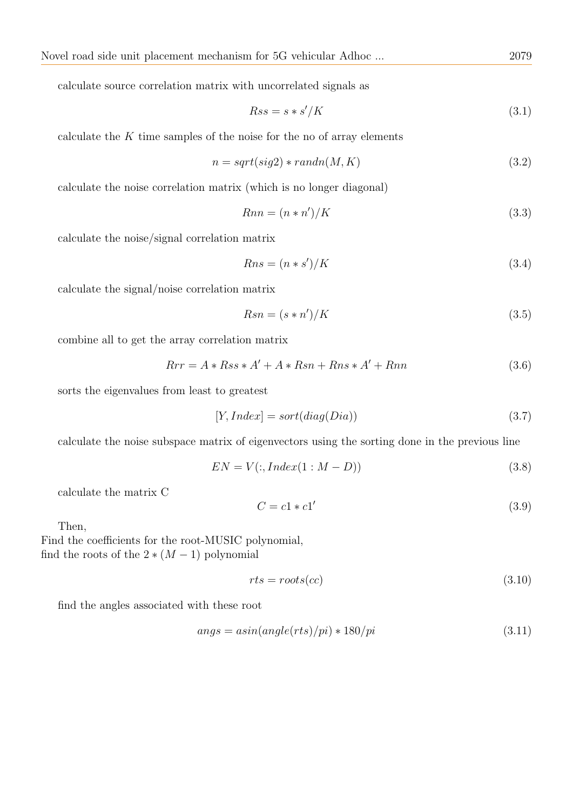calculate source correlation matrix with uncorrelated signals as

$$
Rss = s * s'/K \tag{3.1}
$$

calculate the  $K$  time samples of the noise for the no of array elements

$$
n = sqrt(sign2) * randn(M, K)
$$
\n(3.2)

calculate the noise correlation matrix (which is no longer diagonal)

$$
Rnn = (n * n')/K \tag{3.3}
$$

calculate the noise/signal correlation matrix

$$
Rns = (n * s')/K\tag{3.4}
$$

calculate the signal/noise correlation matrix

$$
Rsn = (s * n')/K \tag{3.5}
$$

combine all to get the array correlation matrix

$$
Rrr = A * Rss * A' + A * Rsn + Rns * A' + Rnn
$$
\n
$$
(3.6)
$$

sorts the eigenvalues from least to greatest

$$
[Y, Index] = sort(diag(Dia))
$$
\n
$$
(3.7)
$$

calculate the noise subspace matrix of eigenvectors using the sorting done in the previous line

$$
EN = V(:,Index(1:M-D))
$$
\n
$$
(3.8)
$$

calculate the matrix C

$$
C = c1 * c1'
$$
\n
$$
(3.9)
$$

Then,

Find the coefficients for the root-MUSIC polynomial, find the roots of the  $2*(M-1)$  polynomial

$$
rts = roots(cc) \tag{3.10}
$$

find the angles associated with these root

$$
angs = asin(angle(rts)/pi) * 180/pi
$$
\n(3.11)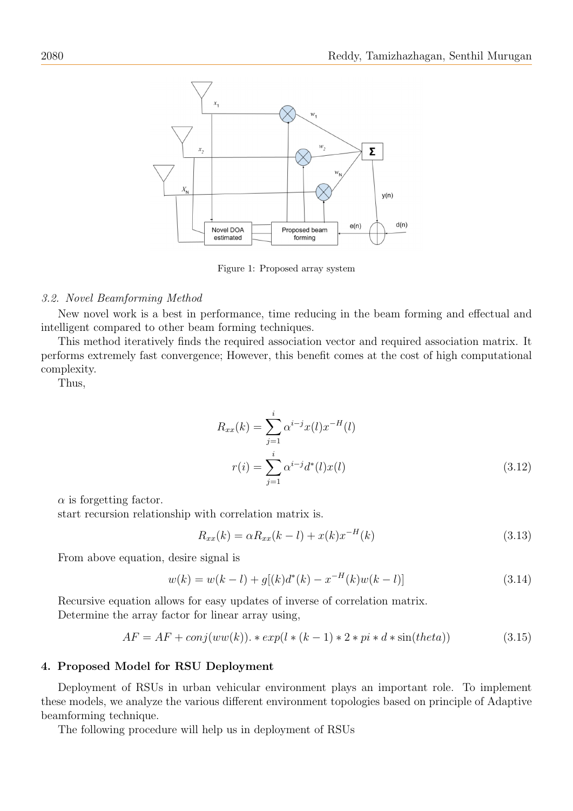

Figure 1: Proposed array system

#### 3.2. Novel Beamforming Method

New novel work is a best in performance, time reducing in the beam forming and effectual and intelligent compared to other beam forming techniques.

This method iteratively finds the required association vector and required association matrix. It performs extremely fast convergence; However, this benefit comes at the cost of high computational complexity.

Thus,

$$
R_{xx}(k) = \sum_{j=1}^{i} \alpha^{i-j} x(l) x^{-H}(l)
$$
  

$$
r(i) = \sum_{j=1}^{i} \alpha^{i-j} d^{*}(l) x(l)
$$
 (3.12)

 $\alpha$  is forgetting factor.

start recursion relationship with correlation matrix is.

$$
R_{xx}(k) = \alpha R_{xx}(k-l) + x(k)x^{-H}(k)
$$
\n(3.13)

From above equation, desire signal is

$$
w(k) = w(k - l) + g[(k)d^*(k) - x^{-H}(k)w(k - l)]
$$
\n(3.14)

Recursive equation allows for easy updates of inverse of correlation matrix. Determine the array factor for linear array using,

$$
AF = AF + conj(ww(k)). * exp(l * (k - 1) * 2 * pi * d * sin(theta))
$$
\n
$$
(3.15)
$$

## <span id="page-3-0"></span>4. Proposed Model for RSU Deployment

Deployment of RSUs in urban vehicular environment plays an important role. To implement these models, we analyze the various different environment topologies based on principle of Adaptive beamforming technique.

The following procedure will help us in deployment of RSUs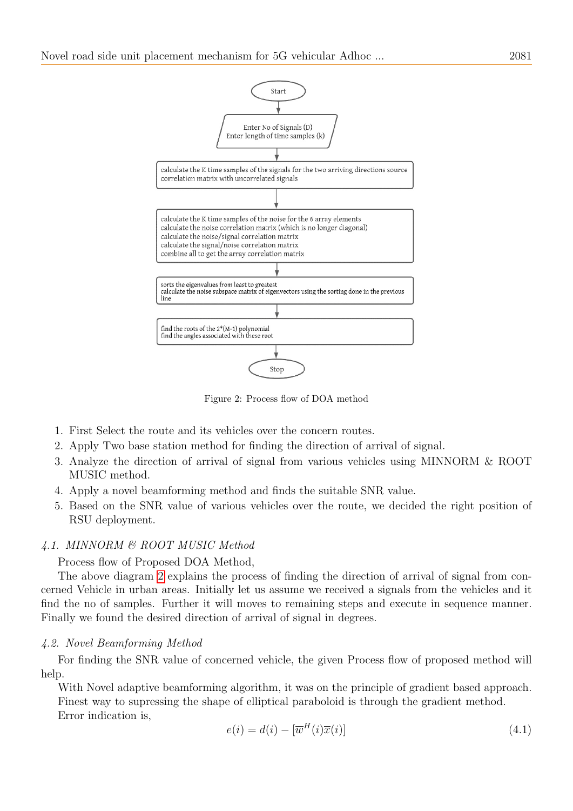

<span id="page-4-0"></span>Figure 2: Process flow of DOA method

- 1. First Select the route and its vehicles over the concern routes.
- 2. Apply Two base station method for finding the direction of arrival of signal.
- 3. Analyze the direction of arrival of signal from various vehicles using MINNORM & ROOT MUSIC method.
- 4. Apply a novel beamforming method and finds the suitable SNR value.
- 5. Based on the SNR value of various vehicles over the route, we decided the right position of RSU deployment.

## 4.1. MINNORM & ROOT MUSIC Method

Process flow of Proposed DOA Method,

The above diagram [2](#page-4-0) explains the process of finding the direction of arrival of signal from concerned Vehicle in urban areas. Initially let us assume we received a signals from the vehicles and it find the no of samples. Further it will moves to remaining steps and execute in sequence manner. Finally we found the desired direction of arrival of signal in degrees.

### 4.2. Novel Beamforming Method

For finding the SNR value of concerned vehicle, the given Process flow of proposed method will help.

With Novel adaptive beamforming algorithm, it was on the principle of gradient based approach. Finest way to supressing the shape of elliptical paraboloid is through the gradient method. Error indication is,

$$
e(i) = d(i) - [\overline{w}^H(i)\overline{x}(i)]
$$
\n(4.1)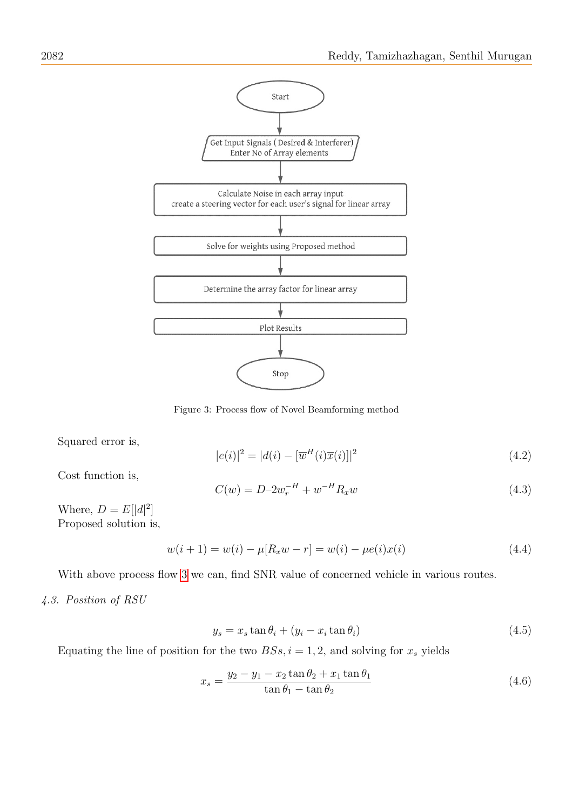

<span id="page-5-0"></span>Figure 3: Process flow of Novel Beamforming method

Squared error is,

$$
|e(i)|^2 = |d(i) - [\overline{w}^H(i)\overline{x}(i)]|^2
$$
\n(4.2)

Cost function is,

$$
C(w) = D - 2w_r^{-H} + w^{-H} R_x w \tag{4.3}
$$

Where,  $D = E[|d|^2]$ Proposed solution is,

$$
w(i + 1) = w(i) - \mu[R_x w - r] = w(i) - \mu e(i)x(i)
$$
\n(4.4)

With above process flow [3](#page-5-0) we can, find SNR value of concerned vehicle in various routes.

4.3. Position of RSU

$$
y_s = x_s \tan \theta_i + (y_i - x_i \tan \theta_i) \tag{4.5}
$$

Equating the line of position for the two  $BSS, i = 1, 2$ , and solving for  $x_s$  yields

$$
x_s = \frac{y_2 - y_1 - x_2 \tan \theta_2 + x_1 \tan \theta_1}{\tan \theta_1 - \tan \theta_2}
$$
 (4.6)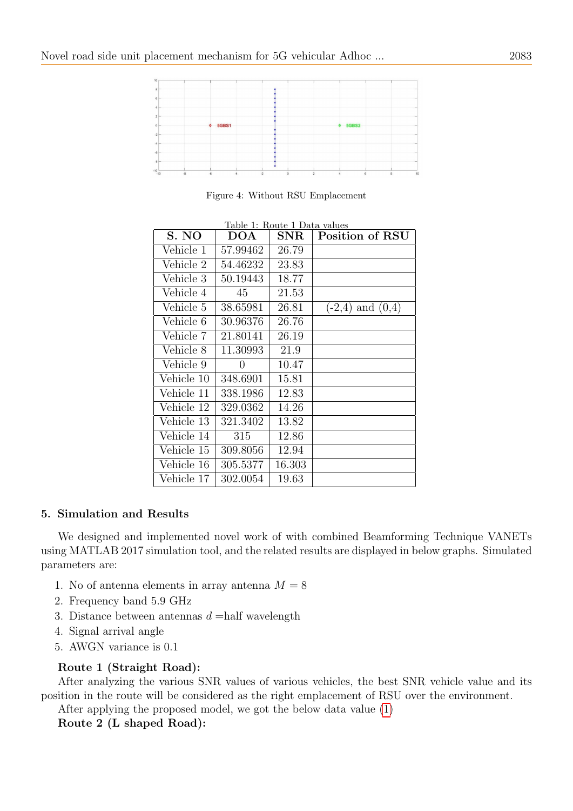| 10                  |      |                          |                |      |          |                |              |   |              |    |
|---------------------|------|--------------------------|----------------|------|----------|----------------|--------------|---|--------------|----|
|                     |      |                          |                |      |          |                |              |   |              |    |
| 8                   |      |                          |                |      |          |                |              |   |              |    |
| 6<br><b>Service</b> |      |                          |                |      |          |                |              |   |              |    |
| 4                   |      |                          |                |      |          |                |              |   |              |    |
| $\overline{2}$      |      |                          |                |      |          |                |              |   |              |    |
| $0 -$               |      |                          | <b>5GBS1</b>   |      |          |                | <b>5GBS2</b> |   |              |    |
| $-2$                |      |                          |                |      |          |                |              |   |              |    |
|                     |      |                          |                |      |          |                |              |   |              |    |
|                     |      |                          |                |      |          |                |              |   |              |    |
|                     |      |                          |                |      |          |                |              |   |              |    |
|                     |      |                          |                |      |          |                |              |   |              |    |
| $-10^{-1}$          | $-8$ | $\overline{\phantom{0}}$ | $\overline{4}$ | $-2$ | $\Omega$ | $\overline{2}$ |              | 6 | $\mathbf{a}$ | 10 |

Figure 4: Without RSU Emplacement

| S. NO      | Iabic I. Itoute I Data values<br>DOA | ${\rm SNR}$ | Position of RSU      |
|------------|--------------------------------------|-------------|----------------------|
| Vehicle 1  | 57.99462                             | 26.79       |                      |
| Vehicle 2  | 54.46232                             | 23.83       |                      |
| Vehicle 3  | 50.19443                             | 18.77       |                      |
| Vehicle 4  | 45                                   | 21.53       |                      |
| Vehicle 5  | 38.65981                             | 26.81       | $(-2,4)$ and $(0,4)$ |
| Vehicle 6  | 30.96376                             | 26.76       |                      |
| Vehicle 7  | 21.80141                             | 26.19       |                      |
| Vehicle 8  | 11.30993                             | 21.9        |                      |
| Vehicle 9  | $\theta$                             | 10.47       |                      |
| Vehicle 10 | 348.6901                             | 15.81       |                      |
| Vehicle 11 | 338.1986                             | 12.83       |                      |
| Vehicle 12 | 329.0362                             | 14.26       |                      |
| Vehicle 13 | 321.3402                             | 13.82       |                      |
| Vehicle 14 | 315                                  | 12.86       |                      |
| Vehicle 15 | 309.8056                             | 12.94       |                      |
| Vehicle 16 | 305.5377                             | 16.303      |                      |
| Vehicle 17 | 302.0054                             | 19.63       |                      |

<span id="page-6-1"></span>Table 1: Route 1 Data values

# <span id="page-6-0"></span>5. Simulation and Results

We designed and implemented novel work of with combined Beamforming Technique VANETs using MATLAB 2017 simulation tool, and the related results are displayed in below graphs. Simulated parameters are:

- 1. No of antenna elements in array antenna  $M = 8$
- 2. Frequency band 5.9 GHz
- 3. Distance between antennas  $d =$ half wavelength
- 4. Signal arrival angle
- 5. AWGN variance is 0.1

# Route 1 (Straight Road):

After analyzing the various SNR values of various vehicles, the best SNR vehicle value and its position in the route will be considered as the right emplacement of RSU over the environment.

After applying the proposed model, we got the below data value [\(1\)](#page-6-1)

Route 2 (L shaped Road):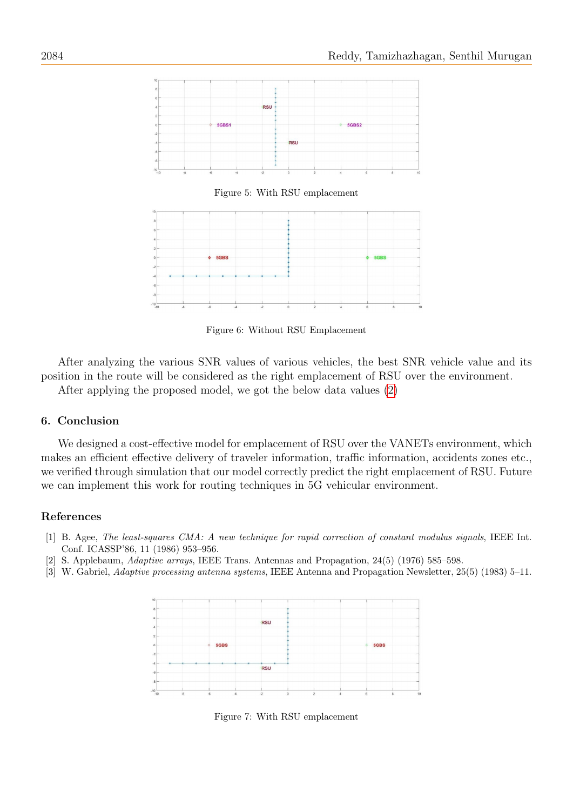

Figure 5: With RSU emplacement



Figure 6: Without RSU Emplacement

After analyzing the various SNR values of various vehicles, the best SNR vehicle value and its position in the route will be considered as the right emplacement of RSU over the environment.

After applying the proposed model, we got the below data values [\(2\)](#page-8-15)

## 6. Conclusion

We designed a cost-effective model for emplacement of RSU over the VANETs environment, which makes an efficient effective delivery of traveler information, traffic information, accidents zones etc., we verified through simulation that our model correctly predict the right emplacement of RSU. Future we can implement this work for routing techniques in 5G vehicular environment.

# References

- <span id="page-7-2"></span>[1] B. Agee, The least-squares CMA: A new technique for rapid correction of constant modulus signals, IEEE Int. Conf. ICASSP'86, 11 (1986) 953–956.
- <span id="page-7-0"></span>[2] S. Applebaum, Adaptive arrays, IEEE Trans. Antennas and Propagation, 24(5) (1976) 585–598.
- <span id="page-7-1"></span>[3] W. Gabriel, Adaptive processing antenna systems, IEEE Antenna and Propagation Newsletter, 25(5) (1983) 5–11.



Figure 7: With RSU emplacement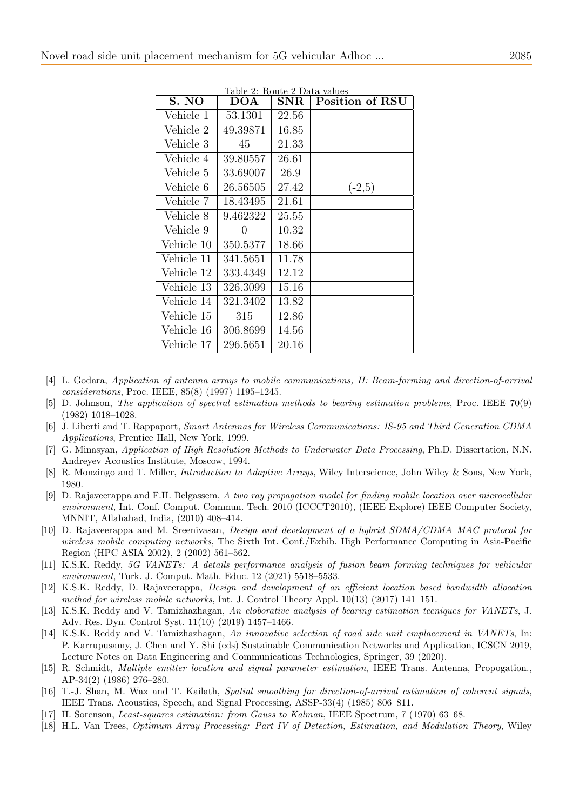| S. NO      | Table 2: Route 2 Data values<br>DOA | ${\rm SNR}$ | Position of RSU |
|------------|-------------------------------------|-------------|-----------------|
| Vehicle 1  | 53.1301                             | 22.56       |                 |
| Vehicle 2  | 49.39871                            | 16.85       |                 |
| Vehicle 3  | 45                                  | 21.33       |                 |
| Vehicle 4  | 39.80557                            | 26.61       |                 |
| Vehicle 5  | 33.69007                            | 26.9        |                 |
| Vehicle 6  | 26.56505                            | 27.42       | $(-2,5)$        |
| Vehicle 7  | 18.43495                            | 21.61       |                 |
| Vehicle 8  | 9.462322                            | 25.55       |                 |
| Vehicle 9  | 0                                   | 10.32       |                 |
| Vehicle 10 | 350.5377                            | 18.66       |                 |
| Vehicle 11 | 341.5651                            | 11.78       |                 |
| Vehicle 12 | 333.4349                            | 12.12       |                 |
| Vehicle 13 | 326.3099                            | 15.16       |                 |
| Vehicle 14 | 321.3402                            | 13.82       |                 |
| Vehicle 15 | 315                                 | 12.86       |                 |
| Vehicle 16 | 306.8699                            | 14.56       |                 |
| Vehicle 17 | 296.5651                            | 20.16       |                 |

<span id="page-8-15"></span>

- <span id="page-8-0"></span>[4] L. Godara, Application of antenna arrays to mobile communications, II: Beam-forming and direction-of-arrival considerations, Proc. IEEE, 85(8) (1997) 1195–1245.
- <span id="page-8-1"></span>[5] D. Johnson, The application of spectral estimation methods to bearing estimation problems, Proc. IEEE 70(9) (1982) 1018–1028.
- <span id="page-8-4"></span>[6] J. Liberti and T. Rappaport, Smart Antennas for Wireless Communications: IS-95 and Third Generation CDMA Applications, Prentice Hall, New York, 1999.
- <span id="page-8-8"></span>[7] G. Minasyan, Application of High Resolution Methods to Underwater Data Processing, Ph.D. Dissertation, N.N. Andreyev Acoustics Institute, Moscow, 1994.
- <span id="page-8-11"></span>[8] R. Monzingo and T. Miller, *Introduction to Adaptive Arrays*, Wiley Interscience, John Wiley & Sons, New York, 1980.
- <span id="page-8-5"></span>[9] D. Rajaveerappa and F.H. Belgassem, A two ray propagation model for finding mobile location over microcellular environment, Int. Conf. Comput. Commun. Tech. 2010 (ICCCT2010), (IEEE Explore) IEEE Computer Society, MNNIT, Allahabad, India, (2010) 408–414.
- <span id="page-8-7"></span>[10] D. Rajaveerappa and M. Sreenivasan, *Design and development of a hybrid SDMA/CDMA MAC protocol for* wireless mobile computing networks, The Sixth Int. Conf./Exhib. High Performance Computing in Asia-Pacific Region (HPC ASIA 2002), 2 (2002) 561–562.
- <span id="page-8-14"></span>[11] K.S.K. Reddy, 5G VANETs: A details performance analysis of fusion beam forming techniques for vehicular environment, Turk. J. Comput. Math. Educ. 12 (2021) 5518–5533.
- <span id="page-8-6"></span>[12] K.S.K. Reddy, D. Rajaveerappa, Design and development of an efficient location based bandwidth allocation method for wireless mobile networks, Int. J. Control Theory Appl. 10(13) (2017) 141–151.
- <span id="page-8-12"></span>[13] K.S.K. Reddy and V. Tamizhazhagan, An eloborative analysis of bearing estimation tecniques for VANETs, J. Adv. Res. Dyn. Control Syst. 11(10) (2019) 1457–1466.
- <span id="page-8-13"></span>[14] K.S.K. Reddy and V. Tamizhazhagan, An innovative selection of road side unit emplacement in VANETs, In: P. Karrupusamy, J. Chen and Y. Shi (eds) Sustainable Communication Networks and Application, ICSCN 2019, Lecture Notes on Data Engineering and Communications Technologies, Springer, 39 (2020).
- <span id="page-8-9"></span>[15] R. Schmidt, Multiple emitter location and signal parameter estimation, IEEE Trans. Antenna, Propogation., AP-34(2) (1986) 276–280.
- <span id="page-8-3"></span>[16] T.-J. Shan, M. Wax and T. Kailath, Spatial smoothing for direction-of-arrival estimation of coherent signals, IEEE Trans. Acoustics, Speech, and Signal Processing, ASSP-33(4) (1985) 806–811.
- <span id="page-8-10"></span>[17] H. Sorenson, Least-squares estimation: from Gauss to Kalman, IEEE Spectrum, 7 (1970) 63–68.
- <span id="page-8-2"></span>[18] H.L. Van Trees, Optimum Array Processing: Part IV of Detection, Estimation, and Modulation Theory, Wiley